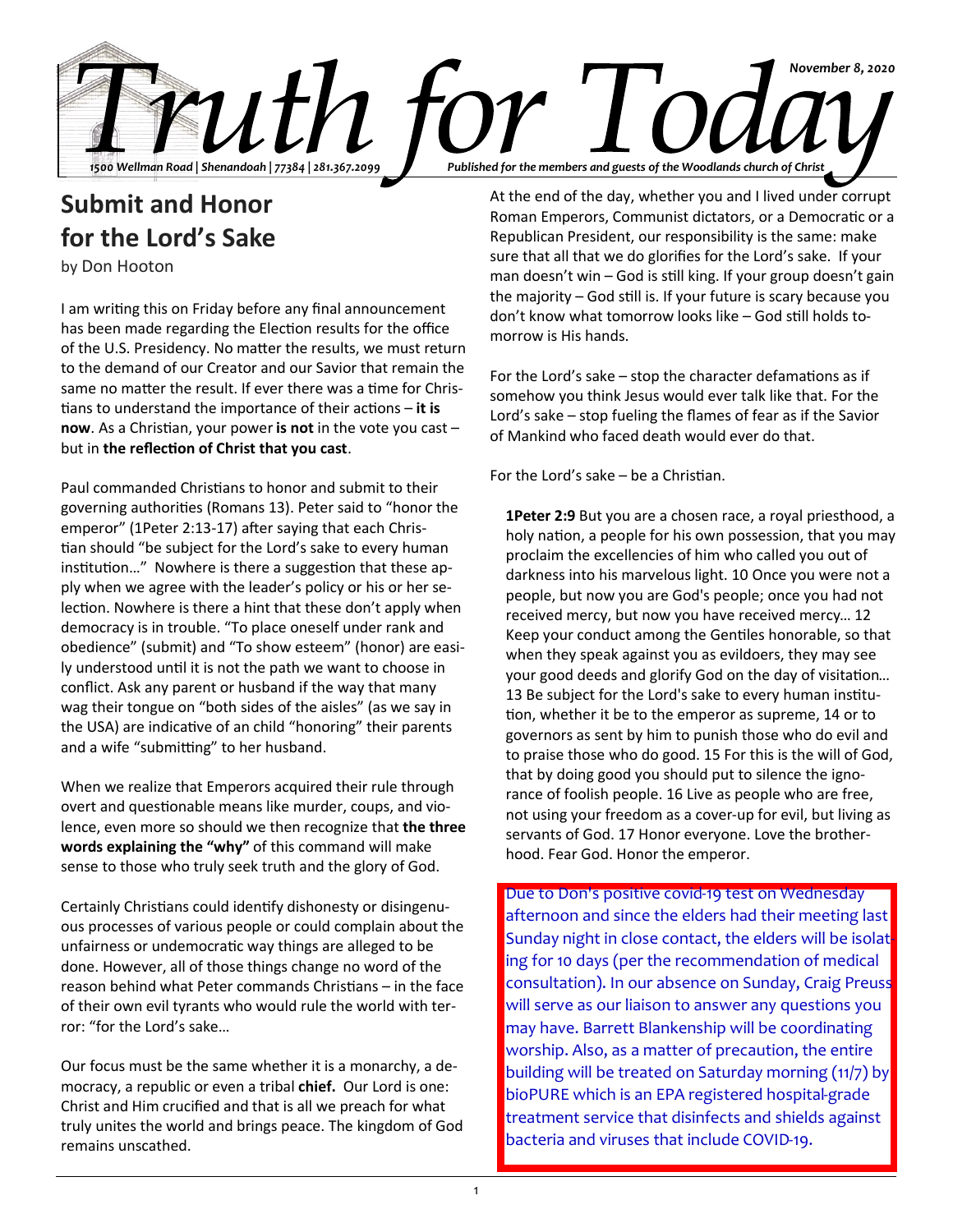

# **Submit and Honor for the Lord's Sake**

by Don Hooton

I am writing this on Friday before any final announcement has been made regarding the Election results for the office of the U.S. Presidency. No matter the results, we must return to the demand of our Creator and our Savior that remain the same no matter the result. If ever there was a time for Christians to understand the importance of their actions – **it is now**. As a Christian, your power **is not** in the vote you cast – but in **the reflection of Christ that you cast**.

Paul commanded Christians to honor and submit to their governing authorities (Romans 13). Peter said to "honor the emperor" (1Peter 2:13-17) after saying that each Christian should "be subject for the Lord's sake to every human institution…" Nowhere is there a suggestion that these apply when we agree with the leader's policy or his or her selection. Nowhere is there a hint that these don't apply when democracy is in trouble. "To place oneself under rank and obedience" (submit) and "To show esteem" (honor) are easily understood until it is not the path we want to choose in conflict. Ask any parent or husband if the way that many wag their tongue on "both sides of the aisles" (as we say in the USA) are indicative of an child "honoring" their parents and a wife "submitting" to her husband.

When we realize that Emperors acquired their rule through overt and questionable means like murder, coups, and violence, even more so should we then recognize that **the three words explaining the "why"** of this command will make sense to those who truly seek truth and the glory of God.

Certainly Christians could identify dishonesty or disingenuous processes of various people or could complain about the unfairness or undemocratic way things are alleged to be done. However, all of those things change no word of the reason behind what Peter commands Christians – in the face of their own evil tyrants who would rule the world with terror: "for the Lord's sake…

Our focus must be the same whether it is a monarchy, a democracy, a republic or even a tribal **chief.** Our Lord is one: Christ and Him crucified and that is all we preach for what truly unites the world and brings peace. The kingdom of God remains unscathed.

At the end of the day, whether you and I lived under corrupt Roman Emperors, Communist dictators, or a Democratic or a Republican President, our responsibility is the same: make sure that all that we do glorifies for the Lord's sake. If your man doesn't win – God is still king. If your group doesn't gain the majority – God still is. If your future is scary because you don't know what tomorrow looks like – God still holds tomorrow is His hands.

For the Lord's sake – stop the character defamations as if somehow you think Jesus would ever talk like that. For the Lord's sake – stop fueling the flames of fear as if the Savior of Mankind who faced death would ever do that.

For the Lord's sake – be a Christian.

**1Peter 2:9** But you are a chosen race, a royal priesthood, a holy nation, a people for his own possession, that you may proclaim the excellencies of him who called you out of darkness into his marvelous light. 10 Once you were not a people, but now you are God's people; once you had not received mercy, but now you have received mercy… 12 Keep your conduct among the Gentiles honorable, so that when they speak against you as evildoers, they may see your good deeds and glorify God on the day of visitation… 13 Be subject for the Lord's sake to every human institution, whether it be to the emperor as supreme, 14 or to governors as sent by him to punish those who do evil and to praise those who do good. 15 For this is the will of God, that by doing good you should put to silence the ignorance of foolish people. 16 Live as people who are free, not using your freedom as a cover-up for evil, but living as servants of God. 17 Honor everyone. Love the brotherhood. Fear God. Honor the emperor.

Due to Don's positive covid-19 test on Wednesday afternoon and since the elders had their meeting last Sunday night in close contact, the elders will be isolating for 10 days (per the recommendation of medical consultation). In our absence on Sunday, Craig Preuss will serve as our liaison to answer any questions you may have. Barrett Blankenship will be coordinating worship. Also, as a matter of precaution, the entire building will be treated on Saturday morning (11/7) by bioPURE which is an EPA registered hospital-grade treatment service that disinfects and shields against bacteria and viruses that include COVID-19.